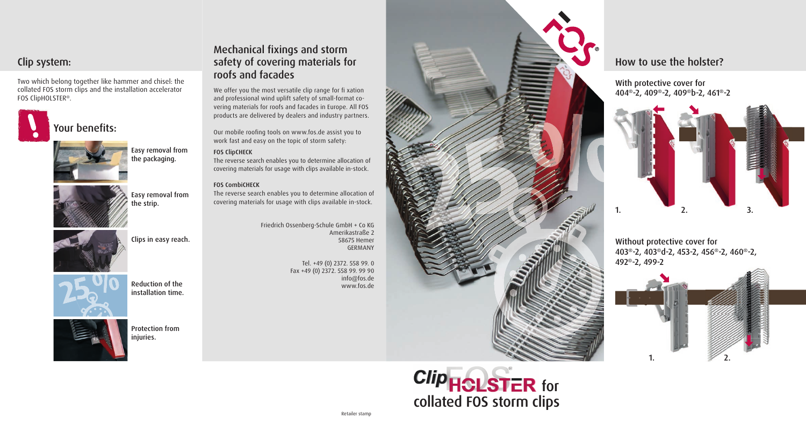Two which belong together like hammer and chisel: the collated FOS storm clips and the installation accelerator FOS ClipHOLSTER®.



## Your benefits:



With protective cover for 404®-2, 409®-2, 409®b-2, 461®-2

# Mechanical fixings and storm roofs and facades



Without protective cover for 403®-2, 403®d-2, 453-2, 456®-2, 460®-2, 492®-2, 499-2

Our mobile roofing tools on www.fos.de assist you to work fast and easy on the topic of storm safety:

We offer you the most versatile clip range for fi xation and professional wind uplift safety of small-format covering materials for roofs and facades in Europe. All FOS products are delivered by dealers and industry partners.

### FOS ClipCHECK

The reverse search enables you to determine allocation of covering materials for usage with clips available in-stock.

### FOS CombiCHECK

The reverse search enables you to determine allocation of covering materials for usage with clips available in-stock.

> Friedrich Ossenberg-Schule GmbH + Co KG Amerikastraße 2 58675 Hemer GERMANY

> > Tel. +49 (0) 2372. 558 99. 0 Fax +49 (0) 2372. 558 99. 99 90 info@fos.de www.fos.de



Easy removal from the packaging.

Protection from injuries.

### Reduction of the installation time.



Clips in easy reach.







Easy removal from the strip.